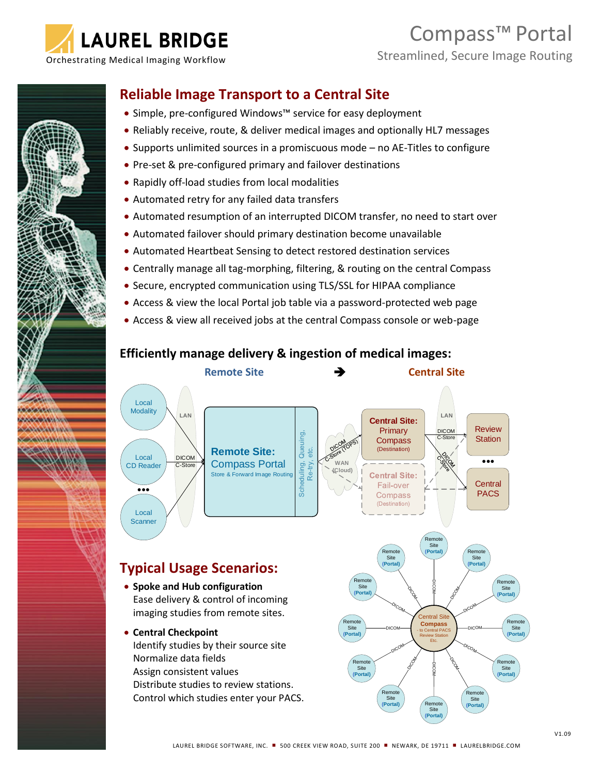

**MONEY MARK AND ARTISTS** *<u>AMMANDING INDIANA</u>* 

**Comment of Comments of the Comments** 

# Compass™ Portal

## **Reliable Image Transport to a Central Site**

- Simple, pre-configured Windows™ service for easy deployment
- Reliably receive, route, & deliver medical images and optionally HL7 messages
- Supports unlimited sources in a promiscuous mode no AE-Titles to configure
- Pre-set & pre-configured primary and failover destinations
- Rapidly off-load studies from local modalities
- Automated retry for any failed data transfers
- Automated resumption of an interrupted DICOM transfer, no need to start over
- Automated failover should primary destination become unavailable
- Automated Heartbeat Sensing to detect restored destination services
- Centrally manage all tag-morphing, filtering, & routing on the central Compass
- Secure, encrypted communication using TLS/SSL for HIPAA compliance
- Access & view the local Portal job table via a password-protected web page
- Access & view all received jobs at the central Compass console or web-page

### **Efficiently manage delivery & ingestion of medical images:**